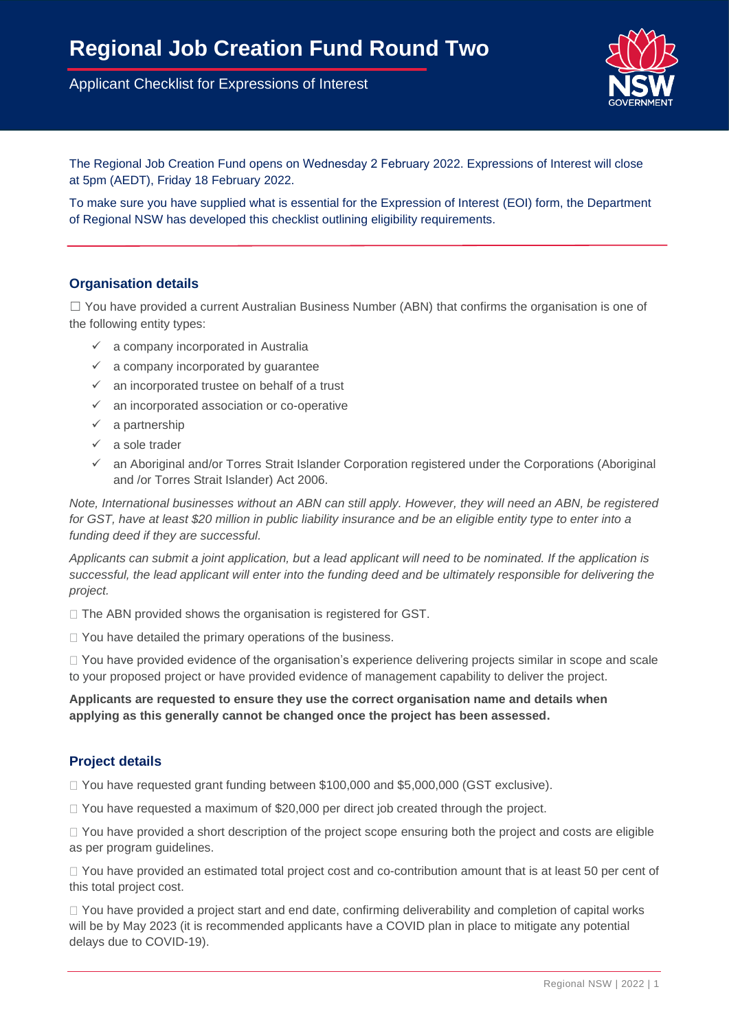Applicant Checklist for Expressions of Interest



The Regional Job Creation Fund opens on Wednesday 2 February 2022. Expressions of Interest will close at 5pm (AEDT), Friday 18 February 2022.

To make sure you have supplied what is essential for the Expression of Interest (EOI) form, the Department of Regional NSW has developed this checklist outlining eligibility requirements.

## **Organisation details**

 $\Box$  You have provided a current Australian Business Number (ABN) that confirms the organisation is one of the following entity types:

- ✓ a company incorporated in Australia
- $\checkmark$  a company incorporated by guarantee
- $\checkmark$  an incorporated trustee on behalf of a trust
- ✓ an incorporated association or co-operative
- $\checkmark$  a partnership
- ✓ a sole trader
- $\checkmark$  an Aboriginal and/or Torres Strait Islander Corporation registered under the Corporations (Aboriginal and /or Torres Strait Islander) Act 2006.

*Note, International businesses without an ABN can still apply. However, they will need an ABN, be registered for GST, have at least \$20 million in public liability insurance and be an eligible entity type to enter into a funding deed if they are successful.*

*Applicants can submit a joint application, but a lead applicant will need to be nominated. If the application is successful, the lead applicant will enter into the funding deed and be ultimately responsible for delivering the project.*

 $\Box$  The ABN provided shows the organisation is registered for GST.

 $\Box$  You have detailed the primary operations of the business.

□ You have provided evidence of the organisation's experience delivering projects similar in scope and scale to your proposed project or have provided evidence of management capability to deliver the project.

#### **Applicants are requested to ensure they use the correct organisation name and details when applying as this generally cannot be changed once the project has been assessed.**

## **Project details**

□ You have requested grant funding between \$100,000 and \$5,000,000 (GST exclusive).

 $\Box$  You have requested a maximum of \$20,000 per direct job created through the project.

 $\Box$  You have provided a short description of the project scope ensuring both the project and costs are eligible as per program guidelines.

□ You have provided an estimated total project cost and co-contribution amount that is at least 50 per cent of this total project cost.

 $\Box$  You have provided a project start and end date, confirming deliverability and completion of capital works will be by May 2023 (it is recommended applicants have a COVID plan in place to mitigate any potential delays due to COVID-19).